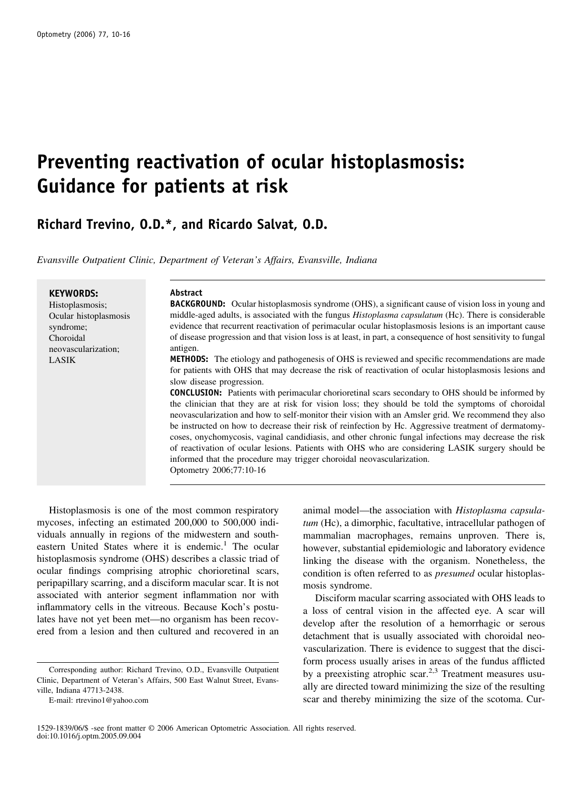# **Preventing reactivation of ocular histoplasmosis: Guidance for patients at risk**

**Richard Trevino, O.D.\*, and Ricardo Salvat, O.D.**

*Evansville Outpatient Clinic, Department of Veteran's Affairs, Evansville, Indiana*

#### **KEYWORDS:**

Histoplasmosis; Ocular histoplasmosis syndrome; Choroidal neovascularization; LASIK

#### **Abstract**

**BACKGROUND:** Ocular histoplasmosis syndrome (OHS), a significant cause of vision loss in young and middle-aged adults, is associated with the fungus *Histoplasma capsulatum* (Hc). There is considerable evidence that recurrent reactivation of perimacular ocular histoplasmosis lesions is an important cause of disease progression and that vision loss is at least, in part, a consequence of host sensitivity to fungal antigen.

**METHODS:** The etiology and pathogenesis of OHS is reviewed and specific recommendations are made for patients with OHS that may decrease the risk of reactivation of ocular histoplasmosis lesions and slow disease progression.

**CONCLUSION:** Patients with perimacular chorioretinal scars secondary to OHS should be informed by the clinician that they are at risk for vision loss; they should be told the symptoms of choroidal neovascularization and how to self-monitor their vision with an Amsler grid. We recommend they also be instructed on how to decrease their risk of reinfection by Hc. Aggressive treatment of dermatomycoses, onychomycosis, vaginal candidiasis, and other chronic fungal infections may decrease the risk of reactivation of ocular lesions. Patients with OHS who are considering LASIK surgery should be informed that the procedure may trigger choroidal neovascularization. Optometry 2006;77:10-16

Histoplasmosis is one of the most common respiratory mycoses, infecting an estimated 200,000 to 500,000 individuals annually in regions of the midwestern and southeastern United States where it is endemic.<sup>1</sup> The ocular histoplasmosis syndrome (OHS) describes a classic triad of ocular findings comprising atrophic chorioretinal scars, peripapillary scarring, and a disciform macular scar. It is not associated with anterior segment inflammation nor with inflammatory cells in the vitreous. Because Koch's postulates have not yet been met—no organism has been recovered from a lesion and then cultured and recovered in an

Corresponding author: Richard Trevino, O.D., Evansville Outpatient Clinic, Department of Veteran's Affairs, 500 East Walnut Street, Evansville, Indiana 47713-2438.

animal model—the association with *Histoplasma capsulatum* (Hc), a dimorphic, facultative, intracellular pathogen of mammalian macrophages, remains unproven. There is, however, substantial epidemiologic and laboratory evidence linking the disease with the organism. Nonetheless, the condition is often referred to as *presumed* ocular histoplasmosis syndrome.

Disciform macular scarring associated with OHS leads to a loss of central vision in the affected eye. A scar will develop after the resolution of a hemorrhagic or serous detachment that is usually associated with choroidal neovascularization. There is evidence to suggest that the disciform process usually arises in areas of the fundus afflicted by a preexisting atrophic scar.<sup>2,3</sup> Treatment measures usually are directed toward minimizing the size of the resulting scar and thereby minimizing the size of the scotoma. Cur-

E-mail: rtrevino1@yahoo.com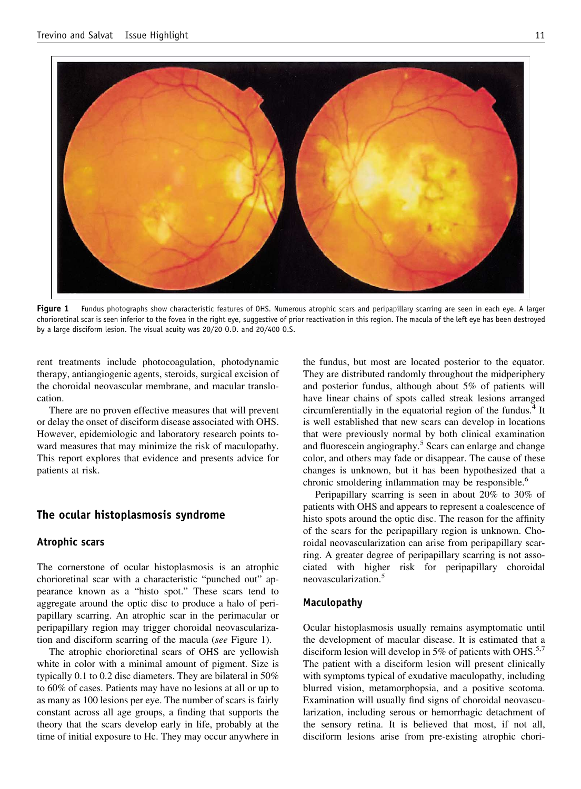

Figure 1 Fundus photographs show characteristic features of OHS. Numerous atrophic scars and peripapillary scarring are seen in each eye. A larger chorioretinal scar is seen inferior to the fovea in the right eye, suggestive of prior reactivation in this region. The macula of the left eye has been destroyed by a large disciform lesion. The visual acuity was 20/20 O.D. and 20/400 O.S.

rent treatments include photocoagulation, photodynamic therapy, antiangiogenic agents, steroids, surgical excision of the choroidal neovascular membrane, and macular translocation.

There are no proven effective measures that will prevent or delay the onset of disciform disease associated with OHS. However, epidemiologic and laboratory research points toward measures that may minimize the risk of maculopathy. This report explores that evidence and presents advice for patients at risk.

## **The ocular histoplasmosis syndrome**

## **Atrophic scars**

The cornerstone of ocular histoplasmosis is an atrophic chorioretinal scar with a characteristic "punched out" appearance known as a "histo spot." These scars tend to aggregate around the optic disc to produce a halo of peripapillary scarring. An atrophic scar in the perimacular or peripapillary region may trigger choroidal neovascularization and disciform scarring of the macula (*see* Figure 1).

The atrophic chorioretinal scars of OHS are yellowish white in color with a minimal amount of pigment. Size is typically 0.1 to 0.2 disc diameters. They are bilateral in 50% to 60% of cases. Patients may have no lesions at all or up to as many as 100 lesions per eye. The number of scars is fairly constant across all age groups, a finding that supports the theory that the scars develop early in life, probably at the time of initial exposure to Hc. They may occur anywhere in

the fundus, but most are located posterior to the equator. They are distributed randomly throughout the midperiphery and posterior fundus, although about 5% of patients will have linear chains of spots called streak lesions arranged circumferentially in the equatorial region of the fundus.<sup>4</sup> It is well established that new scars can develop in locations that were previously normal by both clinical examination and fluorescein angiography.<sup>5</sup> Scars can enlarge and change color, and others may fade or disappear. The cause of these changes is unknown, but it has been hypothesized that a chronic smoldering inflammation may be responsible.<sup>6</sup>

Peripapillary scarring is seen in about 20% to 30% of patients with OHS and appears to represent a coalescence of histo spots around the optic disc. The reason for the affinity of the scars for the peripapillary region is unknown. Choroidal neovascularization can arise from peripapillary scarring. A greater degree of peripapillary scarring is not associated with higher risk for peripapillary choroidal neovascularization[.5](#page-5-0)

#### **Maculopathy**

Ocular histoplasmosis usually remains asymptomatic until the development of macular disease. It is estimated that a disciform lesion will develop in 5% of patients with OHS.<sup>5,7</sup> The patient with a disciform lesion will present clinically with symptoms typical of exudative maculopathy, including blurred vision, metamorphopsia, and a positive scotoma. Examination will usually find signs of choroidal neovascularization, including serous or hemorrhagic detachment of the sensory retina. It is believed that most, if not all, disciform lesions arise from pre-existing atrophic chori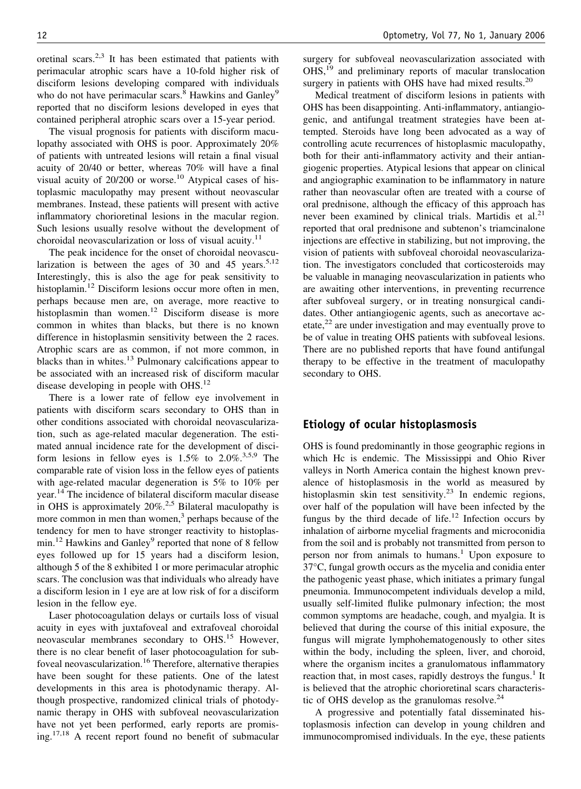oretinal scars. $2,3$  It has been estimated that patients with perimacular atrophic scars have a 10-fold higher risk of disciform lesions developing compared with individuals who do not have perimacular scars. $8$  Hawkins and Ganley<sup>9</sup> reported that no disciform lesions developed in eyes that contained peripheral atrophic scars over a 15-year period.

The visual prognosis for patients with disciform maculopathy associated with OHS is poor. Approximately 20% of patients with untreated lesions will retain a final visual acuity of 20/40 or better, whereas 70% will have a final visual acuity of 20/200 or worse.<sup>10</sup> Atypical cases of histoplasmic maculopathy may present without neovascular membranes. Instead, these patients will present with active inflammatory chorioretinal lesions in the macular region. Such lesions usually resolve without the development of choroidal neovascularization or loss of visual acuity.<sup>11</sup>

The peak incidence for the onset of choroidal neovascularization is between the ages of 30 and 45 years.<sup>5,12</sup> Interestingly, this is also the age for peak sensitivity to histoplamin.<sup>12</sup> Disciform lesions occur more often in men, perhaps because men are, on average, more reactive to histoplasmin than women.<sup>12</sup> Disciform disease is more common in whites than blacks, but there is no known difference in histoplasmin sensitivity between the 2 races. Atrophic scars are as common, if not more common, in blacks than in whites. $13$  Pulmonary calcifications appear to be associated with an increased risk of disciform macular disease developing in people with  $OHS$ <sup>12</sup>

There is a lower rate of fellow eye involvement in patients with disciform scars secondary to OHS than in other conditions associated with choroidal neovascularization, such as age-related macular degeneration. The estimated annual incidence rate for the development of disciform lesions in fellow eyes is  $1.5\%$  to  $2.0\%$ .<sup>3,5,9</sup> The comparable rate of vision loss in the fellow eyes of patients with age-related macular degeneration is 5% to 10% per year.<sup>14</sup> The incidence of bilateral disciform macular disease in OHS is approximately  $20\%$ <sup>2,5</sup> Bilateral maculopathy is more common in men than women, $3$  perhaps because of the tendency for men to have stronger reactivity to histoplasmin.<sup>12</sup> Hawkins and Ganley<sup>9</sup> reported that none of 8 fellow eyes followed up for 15 years had a disciform lesion, although 5 of the 8 exhibited 1 or more perimacular atrophic scars. The conclusion was that individuals who already have a disciform lesion in 1 eye are at low risk of for a disciform lesion in the fellow eye.

Laser photocoagulation delays or curtails loss of visual acuity in eyes with juxtafoveal and extrafoveal choroidal neovascular membranes secondary to OHS.<sup>15</sup> However, there is no clear benefit of laser photocoagulation for subfoveal neovascularization.<sup>16</sup> Therefore, alternative therapies have been sought for these patients. One of the latest developments in this area is photodynamic therapy. Although prospective, randomized clinical trials of photodynamic therapy in OHS with subfoveal neovascularization have not yet been performed, early reports are promising[.17,18](#page-6-0) A recent report found no benefit of submacular surgery for subfoveal neovascularization associated with OHS[,19](#page-6-0) and preliminary reports of macular translocation surgery in patients with OHS have had mixed results.<sup>20</sup>

Medical treatment of disciform lesions in patients with OHS has been disappointing. Anti-inflammatory, antiangiogenic, and antifungal treatment strategies have been attempted. Steroids have long been advocated as a way of controlling acute recurrences of histoplasmic maculopathy, both for their anti-inflammatory activity and their antiangiogenic properties. Atypical lesions that appear on clinical and angiographic examination to be inflammatory in nature rather than neovascular often are treated with a course of oral prednisone, although the efficacy of this approach has never been examined by clinical trials. Martidis et al. $21$ reported that oral prednisone and subtenon's triamcinalone injections are effective in stabilizing, but not improving, the vision of patients with subfoveal choroidal neovascularization. The investigators concluded that corticosteroids may be valuable in managing neovascularization in patients who are awaiting other interventions, in preventing recurrence after subfoveal surgery, or in treating nonsurgical candidates. Other antiangiogenic agents, such as anecortave acetate, $2<sup>22</sup>$  are under investigation and may eventually prove to be of value in treating OHS patients with subfoveal lesions. There are no published reports that have found antifungal therapy to be effective in the treatment of maculopathy secondary to OHS.

# **Etiology of ocular histoplasmosis**

OHS is found predominantly in those geographic regions in which Hc is endemic. The Mississippi and Ohio River valleys in North America contain the highest known prevalence of histoplasmosis in the world as measured by histoplasmin skin test sensitivity.<sup>23</sup> In endemic regions, over half of the population will have been infected by the fungus by the third decade of life. $12$  Infection occurs by inhalation of airborne mycelial fragments and microconidia from the soil and is probably not transmitted from person to person nor from animals to humans.<sup>1</sup> Upon exposure to 37°C, fungal growth occurs as the mycelia and conidia enter the pathogenic yeast phase, which initiates a primary fungal pneumonia. Immunocompetent individuals develop a mild, usually self-limited flulike pulmonary infection; the most common symptoms are headache, cough, and myalgia. It is believed that during the course of this initial exposure, the fungus will migrate lymphohematogenously to other sites within the body, including the spleen, liver, and choroid, where the organism incites a granulomatous inflammatory reaction that, in most cases, rapidly destroys the fungus.<sup>1</sup> It is believed that the atrophic chorioretinal scars characteristic of OHS develop as the granulomas resolve. $24$ 

A progressive and potentially fatal disseminated histoplasmosis infection can develop in young children and immunocompromised individuals. In the eye, these patients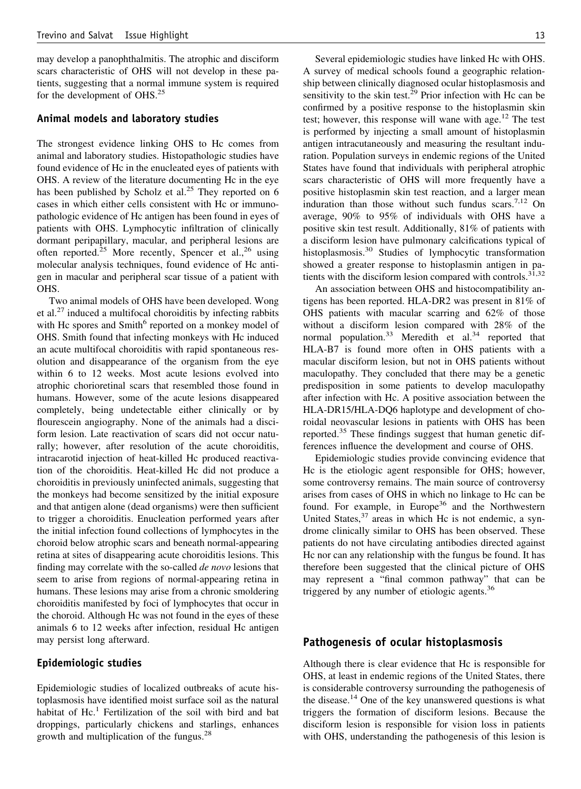may develop a panophthalmitis. The atrophic and disciform scars characteristic of OHS will not develop in these patients, suggesting that a normal immune system is required for the development of OHS. $^{25}$ 

#### **Animal models and laboratory studies**

The strongest evidence linking OHS to Hc comes from animal and laboratory studies. Histopathologic studies have found evidence of Hc in the enucleated eyes of patients with OHS. A review of the literature documenting Hc in the eye has been published by Scholz et al.<sup>25</sup> They reported on 6 cases in which either cells consistent with Hc or immunopathologic evidence of Hc antigen has been found in eyes of patients with OHS. Lymphocytic infiltration of clinically dormant peripapillary, macular, and peripheral lesions are often reported.<sup>25</sup> More recently, Spencer et al.,<sup>26</sup> using molecular analysis techniques, found evidence of Hc antigen in macular and peripheral scar tissue of a patient with OHS.

Two animal models of OHS have been developed. Wong et al.<sup>27</sup> induced a multifocal choroiditis by infecting rabbits with Hc spores and Smith<sup>6</sup> reported on a monkey model of OHS. Smith found that infecting monkeys with Hc induced an acute multifocal choroiditis with rapid spontaneous resolution and disappearance of the organism from the eye within 6 to 12 weeks. Most acute lesions evolved into atrophic chorioretinal scars that resembled those found in humans. However, some of the acute lesions disappeared completely, being undetectable either clinically or by flourescein angiography. None of the animals had a disciform lesion. Late reactivation of scars did not occur naturally; however, after resolution of the acute choroiditis, intracarotid injection of heat-killed Hc produced reactivation of the choroiditis. Heat-killed Hc did not produce a choroiditis in previously uninfected animals, suggesting that the monkeys had become sensitized by the initial exposure and that antigen alone (dead organisms) were then sufficient to trigger a choroiditis. Enucleation performed years after the initial infection found collections of lymphocytes in the choroid below atrophic scars and beneath normal-appearing retina at sites of disappearing acute choroiditis lesions. This finding may correlate with the so-called *de novo* lesions that seem to arise from regions of normal-appearing retina in humans. These lesions may arise from a chronic smoldering choroiditis manifested by foci of lymphocytes that occur in the choroid. Although Hc was not found in the eyes of these animals 6 to 12 weeks after infection, residual Hc antigen may persist long afterward.

#### **Epidemiologic studies**

Epidemiologic studies of localized outbreaks of acute histoplasmosis have identified moist surface soil as the natural habitat of  $\text{Hc}$ <sup>1</sup>. Fertilization of the soil with bird and bat droppings, particularly chickens and starlings, enhances growth and multiplication of the fungus.<sup>28</sup>

Several epidemiologic studies have linked Hc with OHS. A survey of medical schools found a geographic relationship between clinically diagnosed ocular histoplasmosis and sensitivity to the skin test.<sup>29</sup> Prior infection with Hc can be confirmed by a positive response to the histoplasmin skin test; however, this response will wane with age. $12$  The test is performed by injecting a small amount of histoplasmin antigen intracutaneously and measuring the resultant induration. Population surveys in endemic regions of the United States have found that individuals with peripheral atrophic scars characteristic of OHS will more frequently have a positive histoplasmin skin test reaction, and a larger mean induration than those without such fundus scars.<sup>7,12</sup> On average, 90% to 95% of individuals with OHS have a positive skin test result. Additionally, 81% of patients with a disciform lesion have pulmonary calcifications typical of histoplasmosis.<sup>30</sup> Studies of lymphocytic transformation showed a greater response to histoplasmin antigen in patients with the disciform lesion compared with controls.<sup>31,32</sup>

An association between OHS and histocompatibility antigens has been reported. HLA-DR2 was present in 81% of OHS patients with macular scarring and 62% of those without a disciform lesion compared with 28% of the normal population.<sup>33</sup> Meredith et al.<sup>34</sup> reported that HLA-B7 is found more often in OHS patients with a macular disciform lesion, but not in OHS patients without maculopathy. They concluded that there may be a genetic predisposition in some patients to develop maculopathy after infection with Hc. A positive association between the HLA-DR15/HLA-DQ6 haplotype and development of choroidal neovascular lesions in patients with OHS has been reported.<sup>35</sup> These findings suggest that human genetic differences influence the development and course of OHS.

Epidemiologic studies provide convincing evidence that Hc is the etiologic agent responsible for OHS; however, some controversy remains. The main source of controversy arises from cases of OHS in which no linkage to Hc can be found. For example, in Europe<sup>36</sup> and the Northwestern United States, $37$  areas in which Hc is not endemic, a syndrome clinically similar to OHS has been observed. These patients do not have circulating antibodies directed against Hc nor can any relationship with the fungus be found. It has therefore been suggested that the clinical picture of OHS may represent a "final common pathway" that can be triggered by any number of etiologic agents.<sup>36</sup>

## **Pathogenesis of ocular histoplasmosis**

Although there is clear evidence that Hc is responsible for OHS, at least in endemic regions of the United States, there is considerable controversy surrounding the pathogenesis of the disease.<sup>14</sup> One of the key unanswered questions is what triggers the formation of disciform lesions. Because the disciform lesion is responsible for vision loss in patients with OHS, understanding the pathogenesis of this lesion is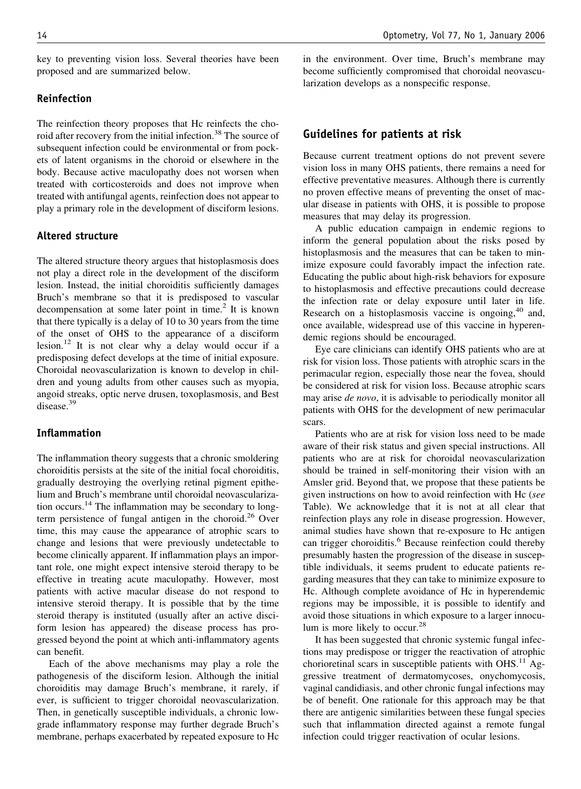key to preventing vision loss. Several theories have been proposed and are summarized below.

## **Reinfection**

The reinfection theory proposes that Hc reinfects the choroid after recovery from the initial infection.<sup>38</sup> The source of subsequent infection could be environmental or from pockets of latent organisms in the choroid or elsewhere in the body. Because active maculopathy does not worsen when treated with corticosteroids and does not improve when treated with antifungal agents, reinfection does not appear to play a primary role in the development of disciform lesions.

## **Altered structure**

The altered structure theory argues that histoplasmosis does not play a direct role in the development of the disciform lesion. Instead, the initial choroiditis sufficiently damages Bruch's membrane so that it is predisposed to vascular decompensation at some later point in time.<sup>2</sup> It is known that there typically is a delay of 10 to 30 years from the time of the onset of OHS to the appearance of a disciform lesion.<sup>12</sup> It is not clear why a delay would occur if a predisposing defect develops at the time of initial exposure. Choroidal neovascularization is known to develop in children and young adults from other causes such as myopia, angoid streaks, optic nerve drusen, toxoplasmosis, and Best disease.<sup>39</sup>

## **Inflammation**

The inflammation theory suggests that a chronic smoldering choroiditis persists at the site of the initial focal choroiditis, gradually destroying the overlying retinal pigment epithelium and Bruch's membrane until choroidal neovascularization occurs.<sup>14</sup> The inflammation may be secondary to longterm persistence of fungal antigen in the choroid.<sup>26</sup> Over time, this may cause the appearance of atrophic scars to change and lesions that were previously undetectable to become clinically apparent. If inflammation plays an important role, one might expect intensive steroid therapy to be effective in treating acute maculopathy. However, most patients with active macular disease do not respond to intensive steroid therapy. It is possible that by the time steroid therapy is instituted (usually after an active disciform lesion has appeared) the disease process has progressed beyond the point at which anti-inflammatory agents can benefit.

Each of the above mechanisms may play a role the pathogenesis of the disciform lesion. Although the initial choroiditis may damage Bruch's membrane, it rarely, if ever, is sufficient to trigger choroidal neovascularization. Then, in genetically susceptible individuals, a chronic lowgrade inflammatory response may further degrade Bruch's membrane, perhaps exacerbated by repeated exposure to Hc

in the environment. Over time, Bruch's membrane may become sufficiently compromised that choroidal neovascularization develops as a nonspecific response.

## **Guidelines for patients at risk**

Because current treatment options do not prevent severe vision loss in many OHS patients, there remains a need for effective preventative measures. Although there is currently no proven effective means of preventing the onset of macular disease in patients with OHS, it is possible to propose measures that may delay its progression.

A public education campaign in endemic regions to inform the general population about the risks posed by histoplasmosis and the measures that can be taken to minimize exposure could favorably impact the infection rate. Educating the public about high-risk behaviors for exposure to histoplasmosis and effective precautions could decrease the infection rate or delay exposure until later in life. Research on a histoplasmosis vaccine is ongoing,<sup>40</sup> and, once available, widespread use of this vaccine in hyperendemic regions should be encouraged.

Eye care clinicians can identify OHS patients who are at risk for vision loss. Those patients with atrophic scars in the perimacular region, especially those near the fovea, should be considered at risk for vision loss. Because atrophic scars may arise *de novo*, it is advisable to periodically monitor all patients with OHS for the development of new perimacular scars.

Patients who are at risk for vision loss need to be made aware of their risk status and given special instructions. All patients who are at risk for choroidal neovascularization should be trained in self-monitoring their vision with an Amsler grid. Beyond that, we propose that these patients be given instructions on how to avoid reinfection with Hc (*see* [Table\)](#page-5-0). We acknowledge that it is not at all clear that reinfection plays any role in disease progression. However, animal studies have shown that re-exposure to Hc antigen can trigger choroiditis.<sup>6</sup> Because reinfection could thereby presumably hasten the progression of the disease in susceptible individuals, it seems prudent to educate patients regarding measures that they can take to minimize exposure to Hc. Although complete avoidance of Hc in hyperendemic regions may be impossible, it is possible to identify and avoid those situations in which exposure to a larger innoculum is more likely to occur.<sup>28</sup>

It has been suggested that chronic systemic fungal infections may predispose or trigger the reactivation of atrophic chorioretinal scars in susceptible patients with  $OHS$ .<sup>11</sup> Aggressive treatment of dermatomycoses, onychomycosis, vaginal candidiasis, and other chronic fungal infections may be of benefit. One rationale for this approach may be that there are antigenic similarities between these fungal species such that inflammation directed against a remote fungal infection could trigger reactivation of ocular lesions.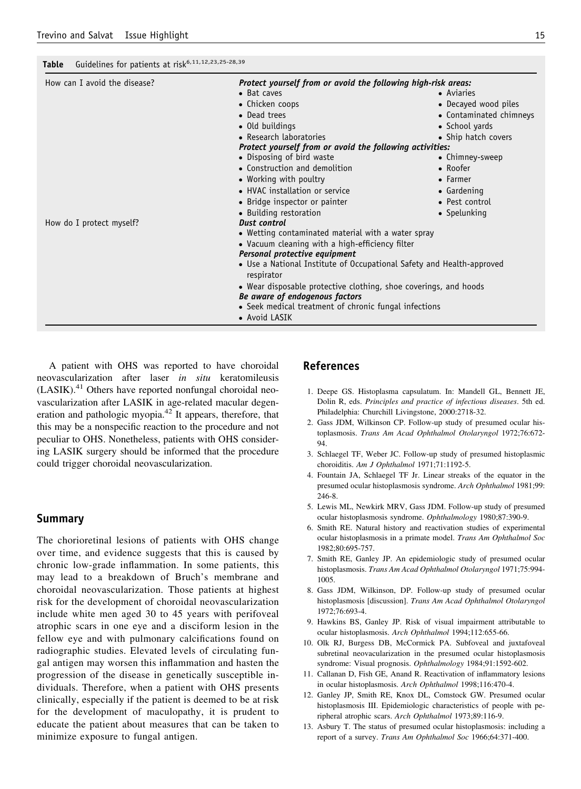<span id="page-5-0"></span>

|                              | Guidelines for patients at risk <sup>6,11,12,23,25-28,39</sup>                                                                                                                                                                                                                                                                                                                                                                                                                                                                    |                                                                                                                                                                                          |
|------------------------------|-----------------------------------------------------------------------------------------------------------------------------------------------------------------------------------------------------------------------------------------------------------------------------------------------------------------------------------------------------------------------------------------------------------------------------------------------------------------------------------------------------------------------------------|------------------------------------------------------------------------------------------------------------------------------------------------------------------------------------------|
| How can I avoid the disease? | Protect yourself from or avoid the following high-risk areas:<br>• Bat caves<br>• Chicken coops<br>• Dead trees<br>• Old buildings<br>• Research laboratories<br>Protect yourself from or avoid the following activities:<br>• Disposing of bird waste<br>• Construction and demolition<br>• Working with poultry<br>• HVAC installation or service                                                                                                                                                                               | • Aviaries<br>• Decayed wood piles<br>• Contaminated chimneys<br>• School yards<br>• Ship hatch covers<br>• Chimney-sweep<br>$\bullet$ Roofer<br>$\bullet$ Farmer<br>$\bullet$ Gardening |
| How do I protect myself?     | • Bridge inspector or painter<br>• Pest control<br>• Building restoration<br>• Spelunking<br><b>Dust control</b><br>• Wetting contaminated material with a water spray<br>• Vacuum cleaning with a high-efficiency filter<br>Personal protective equipment<br>• Use a National Institute of Occupational Safety and Health-approved<br>respirator<br>• Wear disposable protective clothing, shoe coverings, and hoods<br>Be aware of endogenous factors<br>• Seek medical treatment of chronic fungal infections<br>• Avoid LASIK |                                                                                                                                                                                          |

A patient with OHS was reported to have choroidal neovascularization after laser *in situ* keratomileusis (LASIK)[.41](#page-6-0) Others have reported nonfungal choroidal neovascularization after LASIK in age-related macular degeneration and pathologic myopia.<sup>42</sup> It appears, therefore, that this may be a nonspecific reaction to the procedure and not peculiar to OHS. Nonetheless, patients with OHS considering LASIK surgery should be informed that the procedure could trigger choroidal neovascularization.

## **Summary**

The chorioretinal lesions of patients with OHS change over time, and evidence suggests that this is caused by chronic low-grade inflammation. In some patients, this may lead to a breakdown of Bruch's membrane and choroidal neovascularization. Those patients at highest risk for the development of choroidal neovascularization include white men aged 30 to 45 years with perifoveal atrophic scars in one eye and a disciform lesion in the fellow eye and with pulmonary calcifications found on radiographic studies. Elevated levels of circulating fungal antigen may worsen this inflammation and hasten the progression of the disease in genetically susceptible individuals. Therefore, when a patient with OHS presents clinically, especially if the patient is deemed to be at risk for the development of maculopathy, it is prudent to educate the patient about measures that can be taken to minimize exposure to fungal antigen.

# **References**

- 1. Deepe GS. Histoplasma capsulatum. In: Mandell GL, Bennett JE, Dolin R, eds. *Principles and practice of infectious diseases*. 5th ed. Philadelphia: Churchill Livingstone, 2000:2718-32.
- 2. Gass JDM, Wilkinson CP. Follow-up study of presumed ocular histoplasmosis. *Trans Am Acad Ophthalmol Otolaryngol* 1972;76:672- 94.
- 3. Schlaegel TF, Weber JC. Follow-up study of presumed histoplasmic choroiditis. *Am J Ophthalmol* 1971;71:1192-5.
- 4. Fountain JA, Schlaegel TF Jr. Linear streaks of the equator in the presumed ocular histoplasmosis syndrome. *Arch Ophthalmol* 1981;99: 246-8.
- 5. Lewis ML, Newkirk MRV, Gass JDM. Follow-up study of presumed ocular histoplasmosis syndrome. *Ophthalmology* 1980;87:390-9.
- 6. Smith RE. Natural history and reactivation studies of experimental ocular histoplasmosis in a primate model. *Trans Am Ophthalmol Soc* 1982;80:695-757.
- 7. Smith RE, Ganley JP. An epidemiologic study of presumed ocular histoplasmosis. *Trans Am Acad Ophthalmol Otolaryngol* 1971;75:994- 1005.
- 8. Gass JDM, Wilkinson, DP. Follow-up study of presumed ocular histoplasmosis [discussion]. *Trans Am Acad Ophthalmol Otolaryngol* 1972;76:693-4.
- 9. Hawkins BS, Ganley JP. Risk of visual impairment attributable to ocular histoplasmosis. *Arch Ophthalmol* 1994;112:655-66.
- 10. Olk RJ, Burgess DB, McCormick PA. Subfoveal and juxtafoveal subretinal neovacularization in the presumed ocular histoplasmosis syndrome: Visual prognosis. *Ophthalmology* 1984;91:1592-602.
- 11. Callanan D, Fish GE, Anand R. Reactivation of inflammatory lesions in ocular histoplasmosis. *Arch Ophthalmol* 1998;116:470-4.
- 12. Ganley JP, Smith RE, Knox DL, Comstock GW. Presumed ocular histoplasmosis III. Epidemiologic characteristics of people with peripheral atrophic scars. *Arch Ophthalmol* 1973;89:116-9.
- 13. Asbury T. The status of presumed ocular histoplasmosis: including a report of a survey. *Trans Am Ophthalmol Soc* 1966;64:371-400.